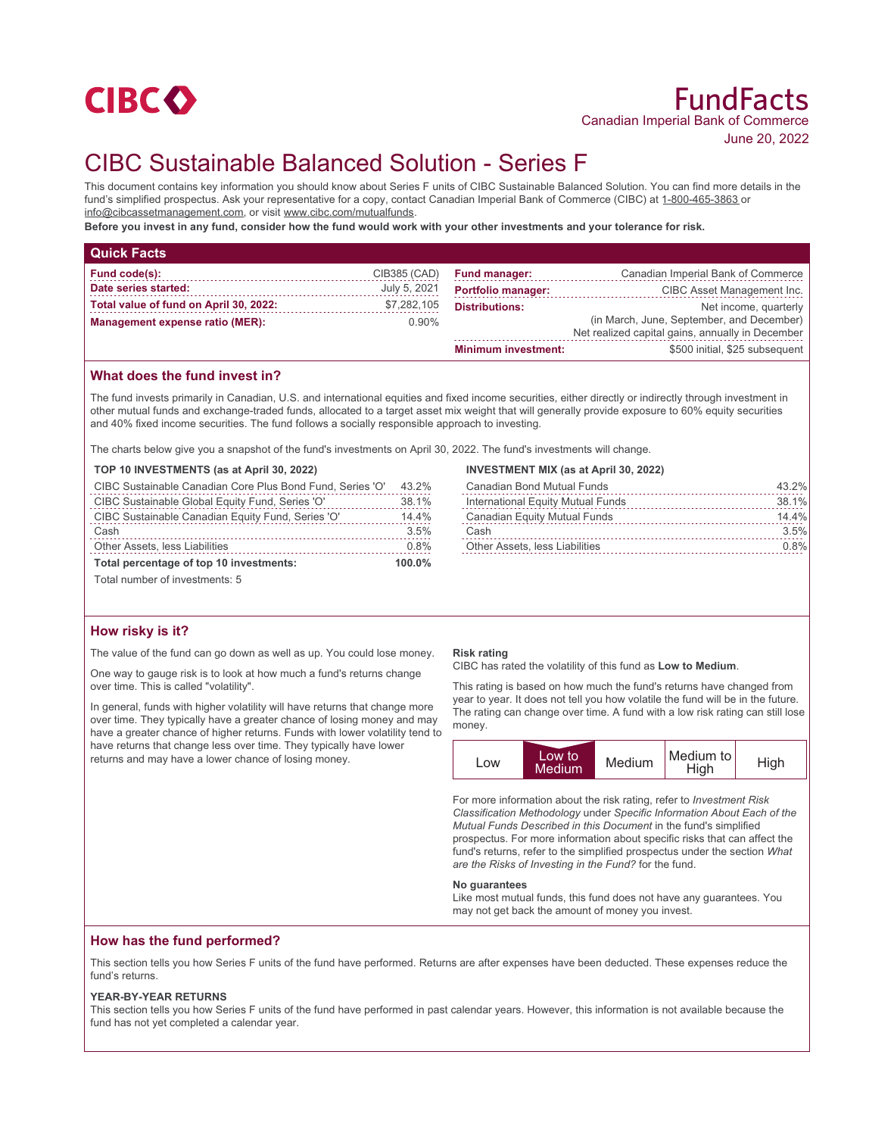

# CIBC Sustainable Balanced Solution - Series F

This document contains key information you should know about Series F units of CIBC Sustainable Balanced Solution. You can find more details in the fund's simplified prospectus. Ask your representative for a copy, contact Canadian Imperial Bank of Commerce (CIBC) at 1-800-465-3863 or info@cibcassetmanagement.com, or visit www.cibc.com/mutualfunds.

**Before you invest in any fund, consider how the fund would work with your other investments and your tolerance for risk.**

| <b>Quick Facts</b>                     |              |                                                                                               |                                    |
|----------------------------------------|--------------|-----------------------------------------------------------------------------------------------|------------------------------------|
| Fund code(s):                          | CIB385 (CAD) | <b>Fund manager:</b>                                                                          | Canadian Imperial Bank of Commerce |
| Date series started:                   | July 5, 2021 | <b>Portfolio manager:</b>                                                                     | CIBC Asset Management Inc.         |
| Total value of fund on April 30, 2022: | \$7,282,105  | <b>Distributions:</b>                                                                         | Net income, quarterly              |
| Management expense ratio (MER):        | $0.90\%$     | (in March, June, September, and December)<br>Net realized capital gains, annually in December |                                    |
|                                        |              | <b>Minimum investment:</b>                                                                    | \$500 initial, \$25 subsequent     |

## **What does the fund invest in?**

The fund invests primarily in Canadian, U.S. and international equities and fixed income securities, either directly or indirectly through investment in other mutual funds and exchange-traded funds, allocated to a target asset mix weight that will generally provide exposure to 60% equity securities and 40% fixed income securities. The fund follows a socially responsible approach to investing.

The charts below give you a snapshot of the fund's investments on April 30, 2022. The fund's investments will change.

## **TOP 10 INVESTMENTS (as at April 30, 2022)**

| CIBC Sustainable Canadian Core Plus Bond Fund, Series 'O' | 43.2% |
|-----------------------------------------------------------|-------|
| CIBC Sustainable Global Equity Fund, Series 'O'           | 38.1% |
| CIBC Sustainable Canadian Equity Fund, Series 'O'         | 14.4% |
| Cash                                                      | 3.5%  |
| Other Assets, less Liabilities                            | 0.8%  |
| Total percentage of top 10 investments:                   |       |

Total number of investments: 5

## **How risky is it?**

The value of the fund can go down as well as up. You could lose money.

One way to gauge risk is to look at how much a fund's returns change over time. This is called "volatility".

In general, funds with higher volatility will have returns that change more over time. They typically have a greater chance of losing money and may have a greater chance of higher returns. Funds with lower volatility tend to have returns that change less over time. They typically have lower returns and may have a lower chance of losing money.

#### **INVESTMENT MIX (as at April 30, 2022)**

| <b>Canadian Bond Mutual Funds</b>     | 43.2%    |
|---------------------------------------|----------|
| International Equity Mutual Funds     | 38.1%    |
| Canadian Equity Mutual Funds          | $14.4\%$ |
| Cash                                  | 3.5%     |
| <b>Other Assets, less Liabilities</b> | 0.8%     |

#### **Risk rating**

CIBC has rated the volatility of this fund as **Low to Medium**.

This rating is based on how much the fund's returns have changed from year to year. It does not tell you how volatile the fund will be in the future. The rating can change over time. A fund with a low risk rating can still lose money.



For more information about the risk rating, refer to *Investment Risk Classification Methodology* under *Specific Information About Each of the Mutual Funds Described in this Document* in the fund's simplified prospectus. For more information about specific risks that can affect the fund's returns, refer to the simplified prospectus under the section *What are the Risks of Investing in the Fund?* for the fund.

#### **No guarantees**

Like most mutual funds, this fund does not have any guarantees. You may not get back the amount of money you invest.

## **How has the fund performed?**

This section tells you how Series F units of the fund have performed. Returns are after expenses have been deducted. These expenses reduce the fund's returns.

#### **YEAR-BY-YEAR RETURNS**

This section tells you how Series F units of the fund have performed in past calendar years. However, this information is not available because the fund has not yet completed a calendar year.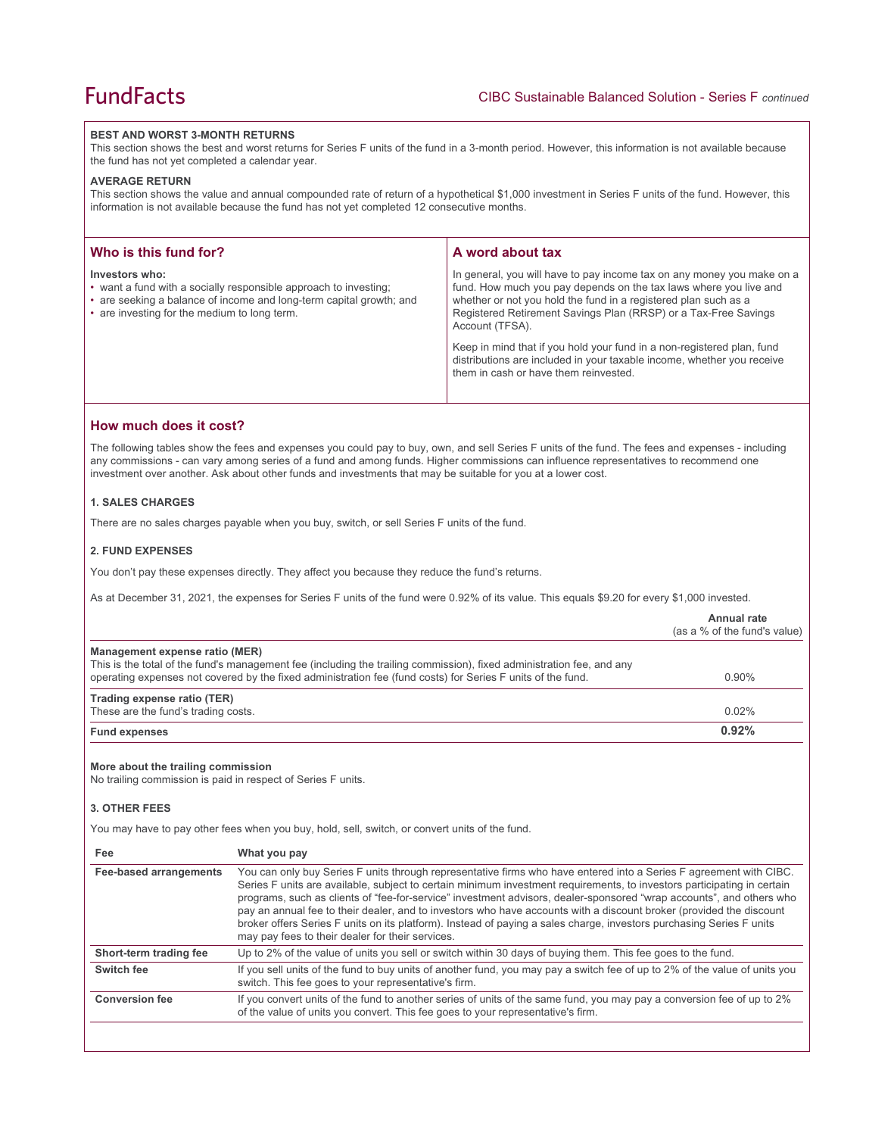#### **BEST AND WORST 3-MONTH RETURNS**

This section shows the best and worst returns for Series F units of the fund in a 3-month period. However, this information is not available because the fund has not yet completed a calendar year.

#### **AVERAGE RETURN**

This section shows the value and annual compounded rate of return of a hypothetical \$1,000 investment in Series F units of the fund. However, this information is not available because the fund has not yet completed 12 consecutive months.

| Who is this fund for?                                                                                                                                                                                     | A word about tax                                                                                                                                                                                                                                                                                                                                                                                                                                                                                  |
|-----------------------------------------------------------------------------------------------------------------------------------------------------------------------------------------------------------|---------------------------------------------------------------------------------------------------------------------------------------------------------------------------------------------------------------------------------------------------------------------------------------------------------------------------------------------------------------------------------------------------------------------------------------------------------------------------------------------------|
| Investors who:<br>• want a fund with a socially responsible approach to investing;<br>• are seeking a balance of income and long-term capital growth; and<br>• are investing for the medium to long term. | In general, you will have to pay income tax on any money you make on a<br>fund. How much you pay depends on the tax laws where you live and<br>whether or not you hold the fund in a registered plan such as a<br>Registered Retirement Savings Plan (RRSP) or a Tax-Free Savings<br>Account (TFSA).<br>Keep in mind that if you hold your fund in a non-registered plan, fund<br>distributions are included in your taxable income, whether you receive<br>them in cash or have them reinvested. |

## **How much does it cost?**

The following tables show the fees and expenses you could pay to buy, own, and sell Series F units of the fund. The fees and expenses - including any commissions - can vary among series of a fund and among funds. Higher commissions can influence representatives to recommend one investment over another. Ask about other funds and investments that may be suitable for you at a lower cost.

## **1. SALES CHARGES**

There are no sales charges payable when you buy, switch, or sell Series F units of the fund.

#### **2. FUND EXPENSES**

You don't pay these expenses directly. They affect you because they reduce the fund's returns.

As at December 31, 2021, the expenses for Series F units of the fund were 0.92% of its value. This equals \$9.20 for every \$1,000 invested.

|                                                                                                                            |                                                                                                                                                                                                                                                                                                                                                                                                                                                                                                                                                                                                                                                                          | Annual rate<br>(as a % of the fund's value) |
|----------------------------------------------------------------------------------------------------------------------------|--------------------------------------------------------------------------------------------------------------------------------------------------------------------------------------------------------------------------------------------------------------------------------------------------------------------------------------------------------------------------------------------------------------------------------------------------------------------------------------------------------------------------------------------------------------------------------------------------------------------------------------------------------------------------|---------------------------------------------|
| Management expense ratio (MER)                                                                                             | This is the total of the fund's management fee (including the trailing commission), fixed administration fee, and any<br>operating expenses not covered by the fixed administration fee (fund costs) for Series F units of the fund.                                                                                                                                                                                                                                                                                                                                                                                                                                     | 0.90%                                       |
| Trading expense ratio (TER)<br>These are the fund's trading costs.                                                         |                                                                                                                                                                                                                                                                                                                                                                                                                                                                                                                                                                                                                                                                          | 0.02%                                       |
| <b>Fund expenses</b>                                                                                                       |                                                                                                                                                                                                                                                                                                                                                                                                                                                                                                                                                                                                                                                                          | 0.92%                                       |
| More about the trailing commission<br>No trailing commission is paid in respect of Series F units.<br><b>3. OTHER FEES</b> | You may have to pay other fees when you buy, hold, sell, switch, or convert units of the fund.                                                                                                                                                                                                                                                                                                                                                                                                                                                                                                                                                                           |                                             |
| Fee                                                                                                                        | What you pay                                                                                                                                                                                                                                                                                                                                                                                                                                                                                                                                                                                                                                                             |                                             |
| <b>Fee-based arrangements</b>                                                                                              | You can only buy Series F units through representative firms who have entered into a Series F agreement with CIBC.<br>Series F units are available, subject to certain minimum investment requirements, to investors participating in certain<br>programs, such as clients of "fee-for-service" investment advisors, dealer-sponsored "wrap accounts", and others who<br>pay an annual fee to their dealer, and to investors who have accounts with a discount broker (provided the discount<br>broker offers Series F units on its platform). Instead of paying a sales charge, investors purchasing Series F units<br>may pay fees to their dealer for their services. |                                             |
| Short-term trading fee                                                                                                     | Up to 2% of the value of units you sell or switch within 30 days of buying them. This fee goes to the fund.                                                                                                                                                                                                                                                                                                                                                                                                                                                                                                                                                              |                                             |
| Switch fee                                                                                                                 | If you sell units of the fund to buy units of another fund, you may pay a switch fee of up to 2% of the value of units you<br>switch. This fee goes to your representative's firm.                                                                                                                                                                                                                                                                                                                                                                                                                                                                                       |                                             |
| <b>Conversion fee</b>                                                                                                      | If you convert units of the fund to another series of units of the same fund, you may pay a conversion fee of up to 2%<br>of the value of units you convert. This fee goes to your representative's firm.                                                                                                                                                                                                                                                                                                                                                                                                                                                                |                                             |